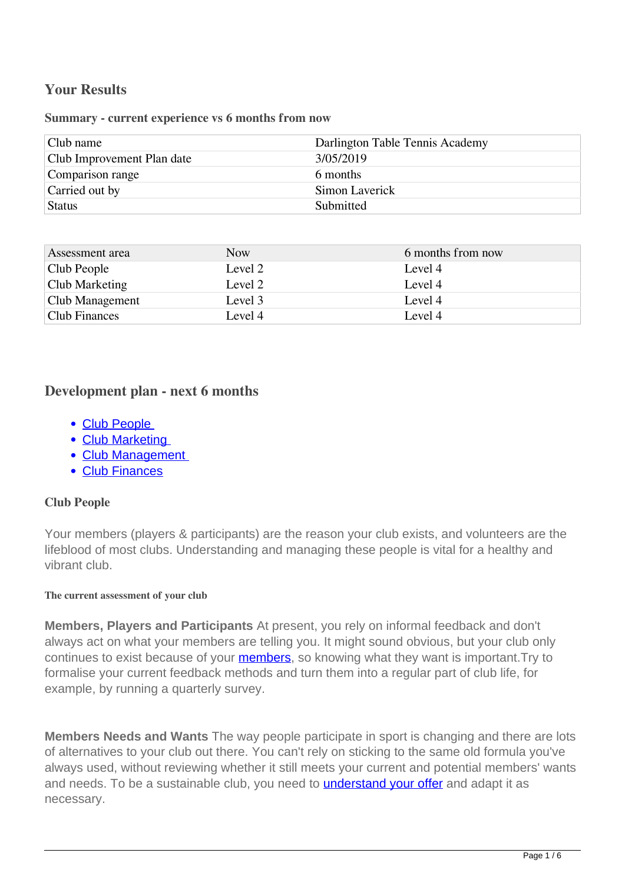# **Your Results**

**Summary - current experience vs 6 months from now**

| Darlington Table Tennis Academy |
|---------------------------------|
| 3/05/2019                       |
| 6 months                        |
| Simon Laverick                  |
| Submitted                       |
|                                 |

| Assessment area      | Now.    | 6 months from now |
|----------------------|---------|-------------------|
| Club People          | Level 2 | Level 4           |
| Club Marketing       | Level 2 | Level 4           |
| Club Management      | Level 3 | Level 4           |
| <b>Club Finances</b> | Level 4 | Level 4           |

# **Development plan - next 6 months**

- Club People
- Club Marketing
- Club Management
- Club Finances

### **Club People**

Your members (players & participants) are the reason your club exists, and volunteers are the lifeblood of most clubs. Understanding and managing these people is vital for a healthy and vibrant club.

#### **The current assessment of your club**

**Members, Players and Participants** At present, you rely on informal feedback and don't always act on what your members are telling you. It might sound obvious, but your club only continues to exist because of your **members**, so knowing what they want is important. Try to formalise your current feedback methods and turn them into a regular part of club life, for example, by running a quarterly survey.

**Members Needs and Wants** The way people participate in sport is changing and there are lots of alternatives to your club out there. You can't rely on sticking to the same old formula you've always used, without reviewing whether it still meets your current and potential members' wants and needs. To be a sustainable club, you need to **understand your offer** and adapt it as necessary.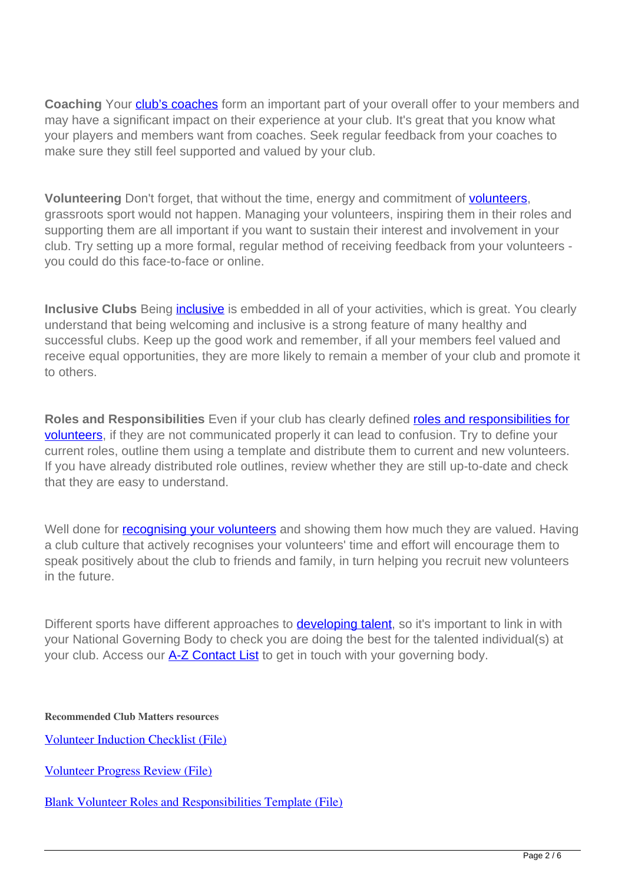**Coaching** Your **club's coaches** form an important part of your overall offer to your members and may have a significant impact on their experience at your club. It's great that you know what your players and members want from coaches. Seek regular feedback from your coaches to make sure they still feel supported and valued by your club.

**Volunteering** Don't forget, that without the time, energy and commitment of **volunteers**, grassroots sport would not happen. Managing your volunteers, inspiring them in their roles and supporting them are all important if you want to sustain their interest and involvement in your club. Try setting up a more formal, regular method of receiving feedback from your volunteers you could do this face-to-face or online.

**Inclusive Clubs** Being *inclusive* is embedded in all of your activities, which is great. You clearly understand that being welcoming and inclusive is a strong feature of many healthy and successful clubs. Keep up the good work and remember, if all your members feel valued and receive equal opportunities, they are more likely to remain a member of your club and promote it to others.

**Roles and Responsibilities** Even if your club has clearly defined roles and responsibilities for volunteers, if they are not communicated properly it can lead to confusion. Try to define your current roles, outline them using a template and distribute them to current and new volunteers. If you have already distributed role outlines, review whether they are still up-to-date and check that they are easy to understand.

Well done for **recognising your volunteers** and showing them how much they are valued. Having a club culture that actively recognises your volunteers' time and effort will encourage them to speak positively about the club to friends and family, in turn helping you recruit new volunteers in the future.

Different sports have different approaches to **developing talent**, so it's important to link in with your National Governing Body to check you are doing the best for the talented individual(s) at your club. Access our **A-Z Contact List** to get in touch with your governing body.

**Recommended Club Matters resources**

Volunteer Induction Checklist (File)

Volunteer Progress Review (File)

Blank Volunteer Roles and Responsibilities Template (File)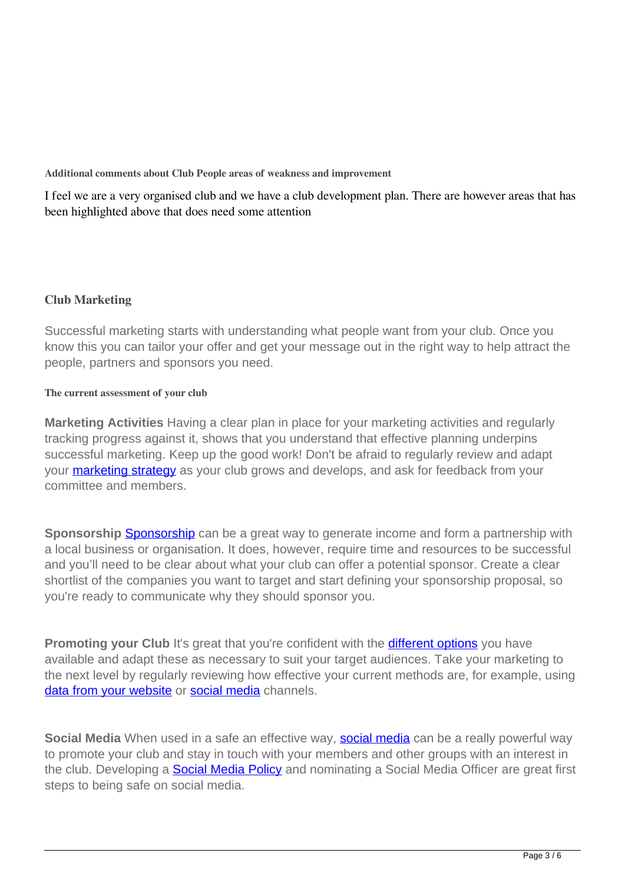**Additional comments about Club People areas of weakness and improvement**

I feel we are a very organised club and we have a club development plan. There are however areas that has been highlighted above that does need some attention

# **Club Marketing**

Successful marketing starts with understanding what people want from your club. Once you know this you can tailor your offer and get your message out in the right way to help attract the people, partners and sponsors you need.

## **The current assessment of your club**

**Marketing Activities** Having a clear plan in place for your marketing activities and regularly tracking progress against it, shows that you understand that effective planning underpins successful marketing. Keep up the good work! Don't be afraid to regularly review and adapt your **marketing strategy** as your club grows and develops, and ask for feedback from your committee and members.

**Sponsorship** Sponsorship can be a great way to generate income and form a partnership with a local business or organisation. It does, however, require time and resources to be successful and you'll need to be clear about what your club can offer a potential sponsor. Create a clear shortlist of the companies you want to target and start defining your sponsorship proposal, so you're ready to communicate why they should sponsor you.

**Promoting your Club** It's great that you're confident with the **different options** you have available and adapt these as necessary to suit your target audiences. Take your marketing to the next level by regularly reviewing how effective your current methods are, for example, using data from your website or social media channels.

**Social Media** When used in a safe an effective way, **social media** can be a really powerful way to promote your club and stay in touch with your members and other groups with an interest in the club. Developing a **Social Media Policy** and nominating a Social Media Officer are great first steps to being safe on social media.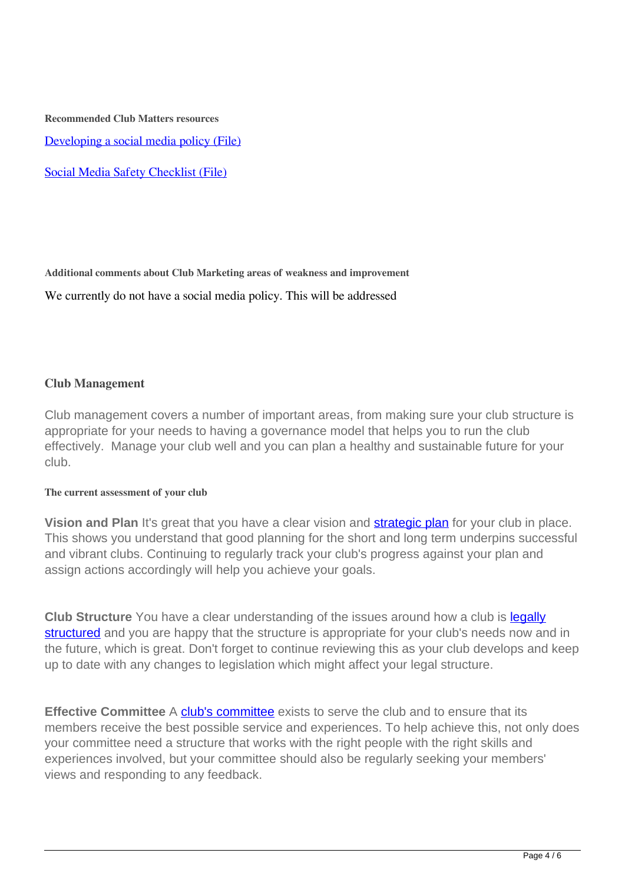**Recommended Club Matters resources**

Developing a social media policy (File)

Social Media Safety Checklist (File)

**Additional comments about Club Marketing areas of weakness and improvement**

We currently do not have a social media policy. This will be addressed

### **Club Management**

Club management covers a number of important areas, from making sure your club structure is appropriate for your needs to having a governance model that helps you to run the club effectively. Manage your club well and you can plan a healthy and sustainable future for your club.

#### **The current assessment of your club**

**Vision and Plan** It's great that you have a clear vision and **strategic plan** for your club in place. This shows you understand that good planning for the short and long term underpins successful and vibrant clubs. Continuing to regularly track your club's progress against your plan and assign actions accordingly will help you achieve your goals.

**Club Structure** You have a clear understanding of the issues around how a club is **legally** structured and you are happy that the structure is appropriate for your club's needs now and in the future, which is great. Don't forget to continue reviewing this as your club develops and keep up to date with any changes to legislation which might affect your legal structure.

**Effective Committee** A club's committee exists to serve the club and to ensure that its members receive the best possible service and experiences. To help achieve this, not only does your committee need a structure that works with the right people with the right skills and experiences involved, but your committee should also be regularly seeking your members' views and responding to any feedback.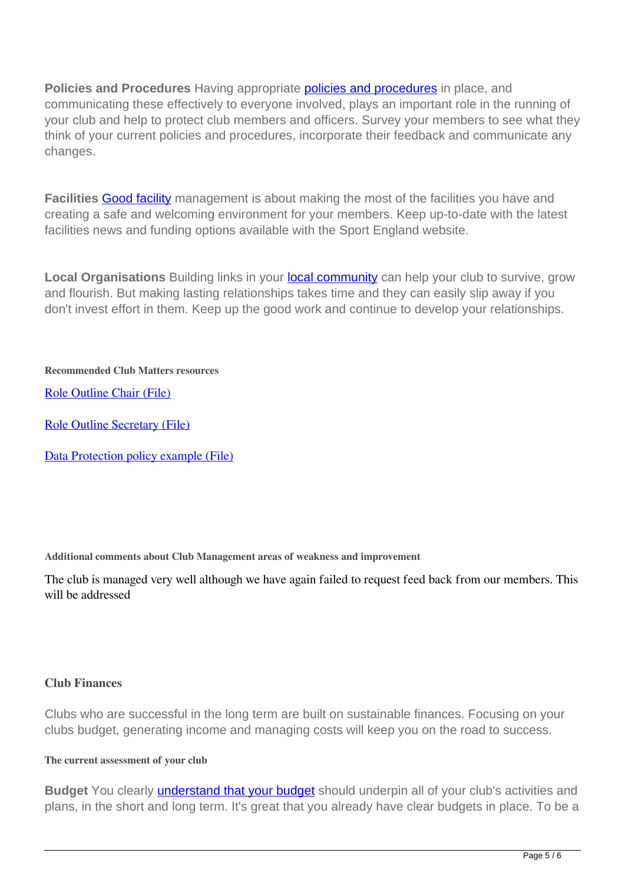**Policies and Procedures** Having appropriate **policies and procedures** in place, and communicating these effectively to everyone involved, plays an important role in the running of your club and help to protect club members and officers. Survey your members to see what they think of your current policies and procedures, incorporate their feedback and communicate any changes.

**Facilities Good facility** management is about making the most of the facilities you have and creating a safe and welcoming environment for your members. Keep up-to-date with the latest facilities news and funding options available with the Sport England website.

Local Organisations Building links in your **local community** can help your club to survive, grow and flourish. But making lasting relationships takes time and they can easily slip away if you don't invest effort in them. Keep up the good work and continue to develop your relationships.

### **Recommended Club Matters resources**

Role Outline Chair (File)

Role Outline Secretary (File)

Data Protection policy example (File)

**Additional comments about Club Management areas of weakness and improvement**

The club is managed very well although we have again failed to request feed back from our members. This will be addressed

### **Club Finances**

Clubs who are successful in the long term are built on sustainable finances. Focusing on your clubs budget, generating income and managing costs will keep you on the road to success.

#### **The current assessment of your club**

**Budget** You clearly understand that your budget should underpin all of your club's activities and plans, in the short and long term. It's great that you already have clear budgets in place. To be a